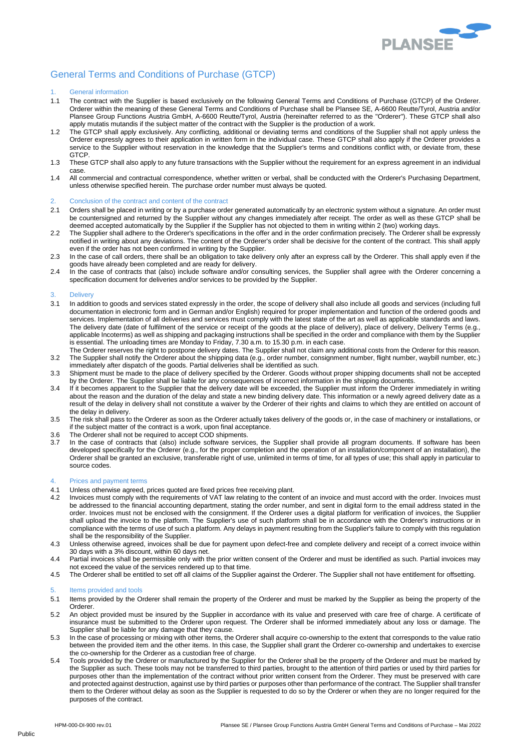

# General Terms and Conditions of Purchase (GTCP)

# 1. General information

- 1.1 The contract with the Supplier is based exclusively on the following General Terms and Conditions of Purchase (GTCP) of the Orderer. Orderer within the meaning of these General Terms and Conditions of Purchase shall be Plansee SE, A-6600 Reutte/Tyrol, Austria and/or Plansee Group Functions Austria GmbH, A-6600 Reutte/Tyrol, Austria (hereinafter referred to as the "Orderer"). These GTCP shall also apply mutatis mutandis if the subject matter of the contract with the Supplier is the production of a work.
- 1.2 The GTCP shall apply exclusively. Any conflicting, additional or deviating terms and conditions of the Supplier shall not apply unless the Orderer expressly agrees to their application in written form in the individual case. These GTCP shall also apply if the Orderer provides a service to the Supplier without reservation in the knowledge that the Supplier's terms and conditions conflict with, or deviate from, these GTCP.
- 1.3 These GTCP shall also apply to any future transactions with the Supplier without the requirement for an express agreement in an individual case.
- 1.4 All commercial and contractual correspondence, whether written or verbal, shall be conducted with the Orderer's Purchasing Department, unless otherwise specified herein. The purchase order number must always be quoted.

## 2. Conclusion of the contract and content of the contract

- 2.1 Orders shall be placed in writing or by a purchase order generated automatically by an electronic system without a signature. An order must be countersigned and returned by the Supplier without any changes immediately after receipt. The order as well as these GTCP shall be deemed accepted automatically by the Supplier if the Supplier has not objected to them in writing within 2 (two) working days.
- 2.2 The Supplier shall adhere to the Orderer's specifications in the offer and in the order confirmation precisely. The Orderer shall be expressly notified in writing about any deviations. The content of the Orderer's order shall be decisive for the content of the contract. This shall apply even if the order has not been confirmed in writing by the Supplier.
- 2.3 In the case of call orders, there shall be an obligation to take delivery only after an express call by the Orderer. This shall apply even if the goods have already been completed and are ready for delivery.
- 2.4 In the case of contracts that (also) include software and/or consulting services, the Supplier shall agree with the Orderer concerning a specification document for deliveries and/or services to be provided by the Supplier.

## **Delivery**

- 3.1 In addition to goods and services stated expressly in the order, the scope of delivery shall also include all goods and services (including full documentation in electronic form and in German and/or English) required for proper implementation and function of the ordered goods and services. Implementation of all deliveries and services must comply with the latest state of the art as well as applicable standards and laws. The delivery date (date of fulfilment of the service or receipt of the goods at the place of delivery), place of delivery, Delivery Terms (e.g., applicable Incoterms) as well as shipping and packaging instructions shall be specified in the order and compliance with them by the Supplier is essential. The unloading times are Monday to Friday, 7.30 a.m. to 15.30 p.m. in each case.
- The Orderer reserves the right to postpone delivery dates. The Supplier shall not claim any additional costs from the Orderer for this reason. 3.2 The Supplier shall notify the Orderer about the shipping data (e.g., order number, consignment number, flight number, waybill number, etc.) immediately after dispatch of the goods. Partial deliveries shall be identified as such.
- 3.3 Shipment must be made to the place of delivery specified by the Orderer. Goods without proper shipping documents shall not be accepted by the Orderer. The Supplier shall be liable for any consequences of incorrect information in the shipping documents.
- 3.4 If it becomes apparent to the Supplier that the delivery date will be exceeded, the Supplier must inform the Orderer immediately in writing about the reason and the duration of the delay and state a new binding delivery date. This information or a newly agreed delivery date as a result of the delay in delivery shall not constitute a waiver by the Orderer of their rights and claims to which they are entitled on account of the delay in delivery.
- 3.5 The risk shall pass to the Orderer as soon as the Orderer actually takes delivery of the goods or, in the case of machinery or installations, or if the subject matter of the contract is a work, upon final acceptance.
- 3.6 The Orderer shall not be required to accept COD shipments.
- 3.7 In the case of contracts that (also) include software services, the Supplier shall provide all program documents. If software has been developed specifically for the Orderer (e.g., for the proper completion and the operation of an installation/component of an installation), the Orderer shall be granted an exclusive, transferable right of use, unlimited in terms of time, for all types of use; this shall apply in particular to source codes.

## 4. Prices and payment terms

- 4.1 Unless otherwise agreed, prices quoted are fixed prices free receiving plant.
- 4.2 Invoices must comply with the requirements of VAT law relating to the content of an invoice and must accord with the order. Invoices must be addressed to the financial accounting department, stating the order number, and sent in digital form to the email address stated in the order. Invoices must not be enclosed with the consignment. If the Orderer uses a digital platform for verification of invoices, the Supplier shall upload the invoice to the platform. The Supplier's use of such platform shall be in accordance with the Orderer's instructions or in compliance with the terms of use of such a platform. Any delays in payment resulting from the Supplier's failure to comply with this regulation shall be the responsibility of the Supplier.
- 4.3 Unless otherwise agreed, invoices shall be due for payment upon defect-free and complete delivery and receipt of a correct invoice within 30 days with a 3% discount, within 60 days net.
- 4.4 Partial invoices shall be permissible only with the prior written consent of the Orderer and must be identified as such. Partial invoices may not exceed the value of the services rendered up to that time.
- 4.5 The Orderer shall be entitled to set off all claims of the Supplier against the Orderer. The Supplier shall not have entitlement for offsetting.

# 5. Items provided and tools

- 5.1 Items provided by the Orderer shall remain the property of the Orderer and must be marked by the Supplier as being the property of the Orderer.
- 5.2 An object provided must be insured by the Supplier in accordance with its value and preserved with care free of charge. A certificate of insurance must be submitted to the Orderer upon request. The Orderer shall be informed immediately about any loss or damage. The Supplier shall be liable for any damage that they cause.
- 5.3 In the case of processing or mixing with other items, the Orderer shall acquire co-ownership to the extent that corresponds to the value ratio between the provided item and the other items. In this case, the Supplier shall grant the Orderer co-ownership and undertakes to exercise the co-ownership for the Orderer as a custodian free of charge.
- 5.4 Tools provided by the Orderer or manufactured by the Supplier for the Orderer shall be the property of the Orderer and must be marked by the Supplier as such. These tools may not be transferred to third parties, brought to the attention of third parties or used by third parties for purposes other than the implementation of the contract without prior written consent from the Orderer. They must be preserved with care and protected against destruction, against use by third parties or purposes other than performance of the contract. The Supplier shall transfer them to the Orderer without delay as soon as the Supplier is requested to do so by the Orderer or when they are no longer required for the purposes of the contract.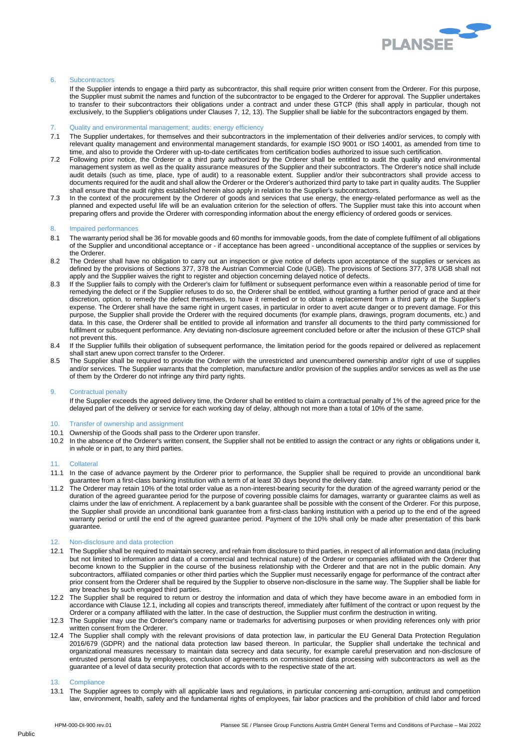

# 6. Subcontractors

If the Supplier intends to engage a third party as subcontractor, this shall require prior written consent from the Orderer. For this purpose, the Supplier must submit the names and function of the subcontractor to be engaged to the Orderer for approval. The Supplier undertakes to transfer to their subcontractors their obligations under a contract and under these GTCP (this shall apply in particular, though not exclusively, to the Supplier's obligations under Clauses 7, 12, 13). The Supplier shall be liable for the subcontractors engaged by them.

## 7. Quality and environmental management; audits; energy efficiency

- 7.1 The Supplier undertakes, for themselves and their subcontractors in the implementation of their deliveries and/or services, to comply with relevant quality management and environmental management standards, for example ISO 9001 or ISO 14001, as amended from time to time, and also to provide the Orderer with up-to-date certificates from certification bodies authorized to issue such certification.
- 7.2 Following prior notice, the Orderer or a third party authorized by the Orderer shall be entitled to audit the quality and environmental management system as well as the quality assurance measures of the Supplier and their subcontractors. The Orderer's notice shall include audit details (such as time, place, type of audit) to a reasonable extent. Supplier and/or their subcontractors shall provide access to documents required for the audit and shall allow the Orderer or the Orderer's authorized third party to take part in quality audits. The Supplier shall ensure that the audit rights established herein also apply in relation to the Supplier's subcontractors.
- 7.3 In the context of the procurement by the Orderer of goods and services that use energy, the energy-related performance as well as the planned and expected useful life will be an evaluation criterion for the selection of offers. The Supplier must take this into account when preparing offers and provide the Orderer with corresponding information about the energy efficiency of ordered goods or services.

# 8. Impaired performances

- 8.1 The warranty period shall be 36 for movable goods and 60 months for immovable goods, from the date of complete fulfilment of all obligations of the Supplier and unconditional acceptance or - if acceptance has been agreed - unconditional acceptance of the supplies or services by the Orderer.
- 8.2 The Orderer shall have no obligation to carry out an inspection or give notice of defects upon acceptance of the supplies or services as defined by the provisions of Sections 377, 378 the Austrian Commercial Code (UGB). The provisions of Sections 377, 378 UGB shall not apply and the Supplier waives the right to register and objection concerning delayed notice of defects.
- 8.3 If the Supplier fails to comply with the Orderer's claim for fulfilment or subsequent performance even within a reasonable period of time for remedying the defect or if the Supplier refuses to do so, the Orderer shall be entitled, without granting a further period of grace and at their discretion, option, to remedy the defect themselves, to have it remedied or to obtain a replacement from a third party at the Supplier's expense. The Orderer shall have the same right in urgent cases, in particular in order to avert acute danger or to prevent damage. For this purpose, the Supplier shall provide the Orderer with the required documents (for example plans, drawings, program documents, etc.) and data. In this case, the Orderer shall be entitled to provide all information and transfer all documents to the third party commissioned for fulfilment or subsequent performance. Any deviating non-disclosure agreement concluded before or after the inclusion of these GTCP shall not prevent this.
- 8.4 If the Supplier fulfills their obligation of subsequent performance, the limitation period for the goods repaired or delivered as replacement shall start anew upon correct transfer to the Orderer.
- 8.5 The Supplier shall be required to provide the Orderer with the unrestricted and unencumbered ownership and/or right of use of supplies and/or services. The Supplier warrants that the completion, manufacture and/or provision of the supplies and/or services as well as the use of them by the Orderer do not infringe any third party rights.

#### 9. Contractual penalty

If the Supplier exceeds the agreed delivery time, the Orderer shall be entitled to claim a contractual penalty of 1% of the agreed price for the delayed part of the delivery or service for each working day of delay, although not more than a total of 10% of the same.

## 10. Transfer of ownership and assignment

- 10.1 Ownership of the Goods shall pass to the Orderer upon transfer.
- 10.2 In the absence of the Orderer's written consent, the Supplier shall not be entitled to assign the contract or any rights or obligations under it, in whole or in part, to any third parties.

## 11. Collateral

- 11.1 In the case of advance payment by the Orderer prior to performance, the Supplier shall be required to provide an unconditional bank guarantee from a first-class banking institution with a term of at least 30 days beyond the delivery date.
- 11.2 The Orderer may retain 10% of the total order value as a non-interest-bearing security for the duration of the agreed warranty period or the duration of the agreed guarantee period for the purpose of covering possible claims for damages, warranty or guarantee claims as well as claims under the law of enrichment. A replacement by a bank guarantee shall be possible with the consent of the Orderer. For this purpose, the Supplier shall provide an unconditional bank guarantee from a first-class banking institution with a period up to the end of the agreed warranty period or until the end of the agreed guarantee period. Payment of the 10% shall only be made after presentation of this bank guarantee.

## 12. Non-disclosure and data protection

- 12.1 The Supplier shall be required to maintain secrecy, and refrain from disclosure to third parties, in respect of all information and data (including but not limited to information and data of a commercial and technical nature) of the Orderer or companies affiliated with the Orderer that become known to the Supplier in the course of the business relationship with the Orderer and that are not in the public domain. Any subcontractors, affiliated companies or other third parties which the Supplier must necessarily engage for performance of the contract after prior consent from the Orderer shall be required by the Supplier to observe non-disclosure in the same way. The Supplier shall be liable for any breaches by such engaged third parties.
- 12.2 The Supplier shall be required to return or destroy the information and data of which they have become aware in an embodied form in accordance with Clause 12.1, including all copies and transcripts thereof, immediately after fulfilment of the contract or upon request by the Orderer or a company affiliated with the latter. In the case of destruction, the Supplier must confirm the destruction in writing.
- 12.3 The Supplier may use the Orderer's company name or trademarks for advertising purposes or when providing references only with prior written consent from the Orderer.
- 12.4 The Supplier shall comply with the relevant provisions of data protection law, in particular the EU General Data Protection Regulation 2016/679 (GDPR) and the national data protection law based thereon. In particular, the Supplier shall undertake the technical and organizational measures necessary to maintain data secrecy and data security, for example careful preservation and non-disclosure of entrusted personal data by employees, conclusion of agreements on commissioned data processing with subcontractors as well as the guarantee of a level of data security protection that accords with to the respective state of the art.

#### 13. Compliance

13.1 The Supplier agrees to comply with all applicable laws and regulations, in particular concerning anti-corruption, antitrust and competition law, environment, health, safety and the fundamental rights of employees, fair labor practices and the prohibition of child labor and forced